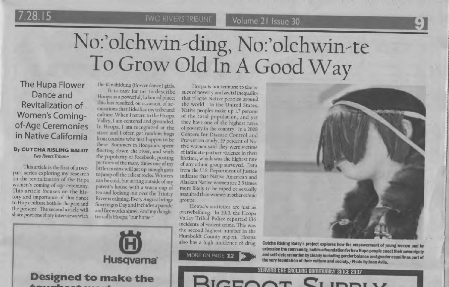**TWO RIVERS TRIBUNE** 

Volume 21 Issue 30

# No:'olchwin-ding, No:'olchwin-te<br>To Grow Old In A Good Way

The Hupa Flower Dance and Revitalization of **Women's Coming**of-Age Ceremonies in Native California

# By CUTCHA RISLING BALDY **Two Rivers Tribune**

This article is the first of a twopart series exploring my research on the revitalization of the Hupa women's coming-of-age ceremony. This article focuses on the history and importance of this dance to Hupa culture both in the past and the present. The second article will share portions of my interviews with

the Kinahldung (flower dance) girls.

It is easy for me to describe Hoopa as a powerful, balanced place; this has resulted, on occasion, of accusations that I idealize my tribe and culture. When I return to the Hoopa Valley, 1 am centered and grounded. In Hoopa, I am recognized at the store and I often get random hugs from cousins who just happen to be there. Summers in Hoopa are spent floating down the river, and with the popularity of Facebook, posting pictures of the many times one of my little cousins will get up enough guts to jump off the tallest rocks. Winters can be cold, but sitting outside of my parent's house with a warm cup of tea and looking out over the Trinity River is calming. Every August brings Sovereigns Day and includes a parade and fireworks show. And my daughter calls Hoopa "our home."

Hoopa is not immune to the issues of poverty and social inequality that plague Native peoples around the world. In the United States, Native peoples make up 1.7 percent of the total population, and yet they have one of the highest rates of poverty in the country. In a 2008 Centers for Disease Control and Prevention study, 39 percent of Native women said they were victims of intimate-partner violence in their lifetime, which was the highest rate of any ethnic group surveyed. Data from the U.S. Department of Justice indicate that Native American and Alaskan Native women are 2.5 times more likely to be raped or sexually assaulted than women in other ethnic groups.

Hoopa's statistics are just as overwhelming. In 2013, the Hoopa Valley Tribal Police reported 136 incidents of violent crime. This was the second highest number in the Humboldt County region. Hoopa also has a high incidence of drug

# MORE ON PAGE 12





the very foundation of their culture and society./ Photo by Juan Avila. SERVING CHE GROWING COMMUNICY SINCE 2007